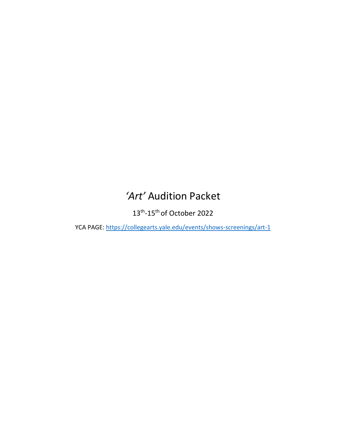# *'Art'* Audition Packet

13<sup>th</sup>-15<sup>th</sup> of October 2022

YCA PAGE:<https://collegearts.yale.edu/events/shows-screenings/art-1>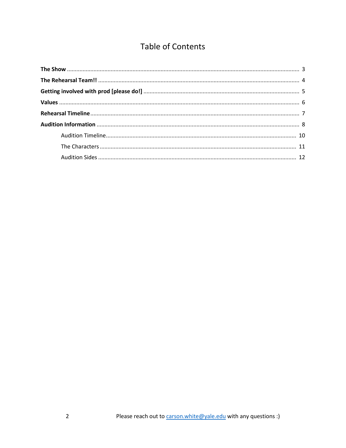# Table of Contents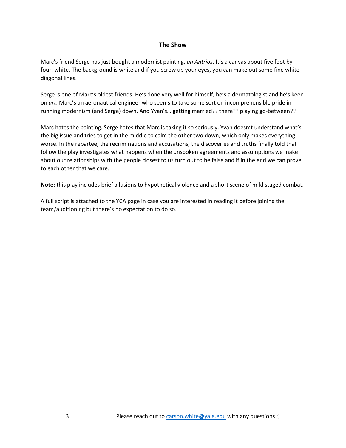### **The Show**

Marc's friend Serge has just bought a modernist painting, *an Antrios*. It's a canvas about five foot by four: white. The background is white and if you screw up your eyes, you can make out some fine white diagonal lines.

Serge is one of Marc's oldest friends. He's done very well for himself, he's a dermatologist and he's keen on *art*. Marc's an aeronautical engineer who seems to take some sort on incomprehensible pride in running modernism (and Serge) down. And Yvan's… getting married?? there?? playing go-between??

Marc hates the painting. Serge hates that Marc is taking it so seriously. Yvan doesn't understand what's the big issue and tries to get in the middle to calm the other two down, which only makes everything worse. In the repartee, the recriminations and accusations, the discoveries and truths finally told that follow the play investigates what happens when the unspoken agreements and assumptions we make about our relationships with the people closest to us turn out to be false and if in the end we can prove to each other that we care.

**Note**: this play includes brief allusions to hypothetical violence and a short scene of mild staged combat.

A full script is attached to the YCA page in case you are interested in reading it before joining the team/auditioning but there's no expectation to do so.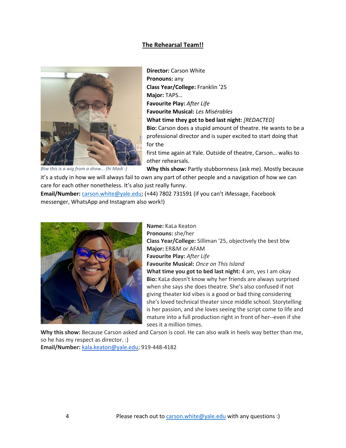# **The Rehearsal Team!!**



**Director:** Carson White **Pronouns:** any **Class Year/College:** Franklin '25 **Major:** TAPS… **Favourite Play:** *After Life* **Favourite Musical:** *Les Misérables* **What time they got to bed last night:** *[REDACTED]* **Bio:** Carson does a stupid amount of theatre. He wants to be a professional director and is super excited to start doing that for the first time again at Yale. Outside of theatre, Carson… walks to other rehearsals.

*Btw this is a wig from a show... (hi Madi :)*

**Why this show:** Partly stubbornness (ask me). Mostly because

it's a study in how we will always fail to own any part of other people and a navigation of how we can care for each other nonetheless. It's also just really funny.

**Email/Number:** [carson.white@yale.edu;](mailto:carson.white@yale.edu) (+44) 7802 731591 (if you can't iMessage, Facebook messenger, WhatsApp and Instagram also work!)



**Name:** KaLa Keaton **Pronouns:** she/her **Class Year/College:** Silliman '25, objectively the best btw **Major:** ER&M or AFAM **Favourite Play:** *After Life* **Favourite Musical:** *Once on This Island* **What time you got to bed last night:** 4 am, yes I am okay **Bio:** KaLa doesn't know why her friends are always surprised when she says she does theatre. She's also confused if not giving theater kid vibes is a good or bad thing considering she's loved technical theater since middle school. Storytelling is her passion, and she loves seeing the script come to life and

mature into a full production right in front of her--even if she sees it a million times.

**Why this show:** Because Carson asked and Carson is cool. He can also walk in heels way better than me, so he has my respect as director. :)

**Email/Number:** [kala.keaton@yale.edu;](mailto:kala.keaton@yale.edu) 919-448-4182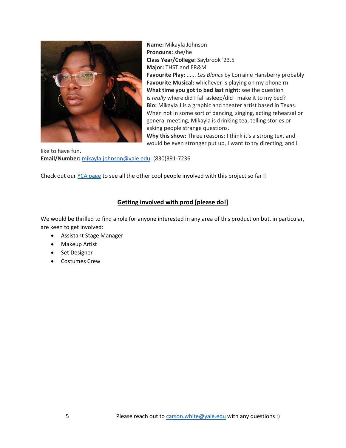

**Name:** Mikayla Johnson **Pronouns:** she/he **Class Year/College:** Saybrook '23.5 **Major:** THST and ER&M **Favourite Play:** ...... *Les Blancs* by Lorraine Hansberry probably **Favourite Musical:** whichever is playing on my phone rn **What time you got to bed last night:** see the question is *really* where did I fall asleep/did I make it to my bed? **Bio:** Mikayla J is a graphic and theater artist based in Texas. When not in some sort of dancing, singing, acting rehearsal or general meeting, Mikayla is drinking tea, telling stories or asking people strange questions. **Why this show:** Three reasons: I think it's a strong text and

would be even stronger put up, I want to try directing, and I

like to have fun. **Email/Number:** [mikayla.johnson@yale.edu;](mailto:mikayla.johnson@yale.edu) (830)391-7236

Check out our [YCA page](https://collegearts.yale.edu/events/shows-screenings/art-1) to see all the other cool people involved with this project so far!!

# **Getting involved with prod [please do!]**

We would be thrilled to find a role for anyone interested in any area of this production but, in particular, are keen to get involved:

- Assistant Stage Manager
- Makeup Artist
- Set Designer
- Costumes Crew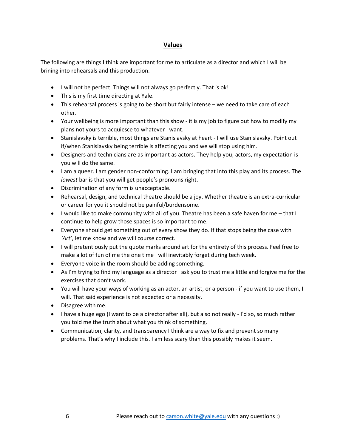# **Values**

The following are things I think are important for me to articulate as a director and which I will be brining into rehearsals and this production.

- I will not be perfect. Things will not always go perfectly. That is ok!
- This is my first time directing at Yale.
- This rehearsal process is going to be short but fairly intense we need to take care of each other.
- Your wellbeing is more important than this show it is my job to figure out how to modify my plans not yours to acquiesce to whatever I want.
- Stanislavsky is terrible, most things are Stanislavsky at heart I will use Stanislavsky. Point out if/when Stanislavsky being terrible is affecting you and we will stop using him.
- Designers and technicians are as important as actors. They help you; actors, my expectation is you will do the same.
- I am a queer. I am gender non-conforming. I am bringing that into this play and its process. The *lowest* bar is that you will get people's pronouns right.
- Discrimination of any form is unacceptable.
- Rehearsal, design, and technical theatre should be a joy. Whether theatre is an extra-curricular or career for you it should not be painful/burdensome.
- I would like to make community with all of you. Theatre has been a safe haven for me that I continue to help grow those spaces is so important to me.
- Everyone should get something out of every show they do. If that stops being the case with *'Art'*, let me know and we will course correct.
- I will pretentiously put the quote marks around art for the entirety of this process. Feel free to make a lot of fun of me the one time I will inevitably forget during tech week.
- Everyone voice in the room should be adding something.
- As I'm trying to find my language as a director I ask you to trust me a little and forgive me for the exercises that don't work.
- You will have your ways of working as an actor, an artist, or a person if you want to use them, I will. That said experience is not expected or a necessity.
- Disagree with me.
- I have a huge ego (I want to be a director after all), but also not really I'd so, so much rather you told me the truth about what you think of something.
- Communication, clarity, and transparency I think are a way to fix and prevent so many problems. That's why I include this. I am less scary than this possibly makes it seem.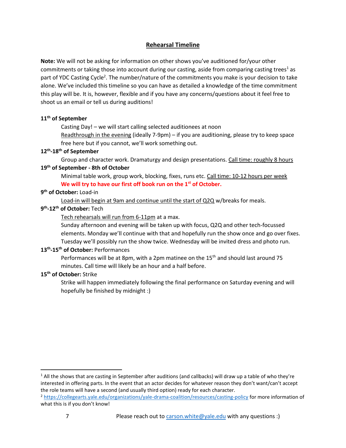## **Rehearsal Timeline**

**Note:** We will not be asking for information on other shows you've auditioned for/your other commitments or taking those into account during our casting, aside from comparing casting trees<sup>1</sup> as part of YDC Casting Cycle<sup>2</sup>. The number/nature of the commitments you make is your decision to take alone. We've included this timeline so you can have as detailed a knowledge of the time commitment this play will be. It is, however, flexible and if you have any concerns/questions about it feel free to shoot us an email or tell us during auditions!

#### **11th of September**

Casting Day! – we will start calling selected auditionees at noon

Readthrough in the evening (ideally 7-9pm) – if you are auditioning, please try to keep space free here but if you cannot, we'll work something out.

#### **12th -18th of September**

Group and character work. Dramaturgy and design presentations. Call time: roughly 8 hours

#### **19th of September - 8th of October**

Minimal table work, group work, blocking, fixes, runs etc. Call time: 10-12 hours per week **We will try to have our first off book run on the 1st of October.**

#### **9 th of October:** Load-in

Load-in will begin at 9am and continue until the start of Q2Q w/breaks for meals.

#### **9 th -12th of October:** Tech

Tech rehearsals will run from 6-11pm at a max.

Sunday afternoon and evening will be taken up with focus, Q2Q and other tech-focussed elements. Monday we'll continue with that and hopefully run the show once and go over fixes. Tuesday we'll possibly run the show twice. Wednesday will be invited dress and photo run.

### **13th -15 th of October:** Performances

Performances will be at 8pm, with a 2pm matinee on the  $15<sup>th</sup>$  and should last around 75 minutes. Call time will likely be an hour and a half before.

# **15th of October:** Strike

Strike will happen immediately following the final performance on Saturday evening and will hopefully be finished by midnight :)

 $1$  All the shows that are casting in September after auditions (and callbacks) will draw up a table of who they're interested in offering parts. In the event that an actor decides for whatever reason they don't want/can't accept the role teams will have a second (and usually third option) ready for each character.

<sup>2</sup> <https://collegearts.yale.edu/organizations/yale-drama-coalition/resources/casting-policy> for more information of what this is if you don't know!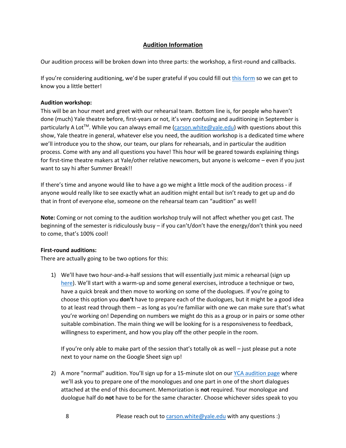# **Audition Information**

Our audition process will be broken down into three parts: the workshop, a first-round and callbacks.

If you're considering auditioning, we'd be super grateful if you could fill out [this form](https://forms.gle/uo5VRUSNR2S4vQuE9) so we can get to know you a little better!

#### **Audition workshop:**

This will be an hour meet and greet with our rehearsal team. Bottom line is, for people who haven't done (much) Yale theatre before, first-years or not, it's very confusing and auditioning in September is particularly A Lot<sup>TM</sup>. While you can always email me [\(carson.white@yale.edu\)](mailto:carson.white@yale.edu) with questions about this show, Yale theatre in general, whatever else you need, the audition workshop is a dedicated time where we'll introduce you to the show, our team, our plans for rehearsals, and in particular the audition process. Come with any and all questions you have! This hour will be geared towards explaining things for first-time theatre makers at Yale/other relative newcomers, but anyone is welcome – even if you just want to say hi after Summer Break!!

If there's time and anyone would like to have a go we might a little mock of the audition process - if anyone would really like to see exactly what an audition might entail but isn't ready to get up and do that in front of everyone else, someone on the rehearsal team can "audition" as well!

**Note:** Coming or not coming to the audition workshop truly will not affect whether you get cast. The beginning of the semester is ridiculously busy – if you can't/don't have the energy/don't think you need to come, that's 100% cool!

### **First-round auditions:**

There are actually going to be two options for this:

1) We'll have two hour-and-a-half sessions that will essentially just mimic a rehearsal (sign up [here\)](https://docs.google.com/spreadsheets/d/18h6-wCj282iRzbLJxqxAp2oFEwAqVpdiYFmU8zp1wIk/edit?usp=sharing). We'll start with a warm-up and some general exercises, introduce a technique or two, have a quick break and then move to working on some of the duologues. If you're going to choose this option you **don't** have to prepare each of the duologues, but it might be a good idea to at least read through them – as long as you're familiar with one we can make sure that's what you're working on! Depending on numbers we might do this as a group or in pairs or some other suitable combination. The main thing we will be looking for is a responsiveness to feedback, willingness to experiment, and how you play off the other people in the room.

If you're only able to make part of the session that's totally ok as well – just please put a note next to your name on the Google Sheet sign up!

2) A more "normal" audition. You'll sign up for a 15-minute slot on our  $YCA$  audition page where we'll ask you to prepare one of the monologues and one part in one of the short dialogues attached at the end of this document. Memorization is **not** required. Your monologue and duologue half do **not** have to be for the same character. Choose whichever sides speak to you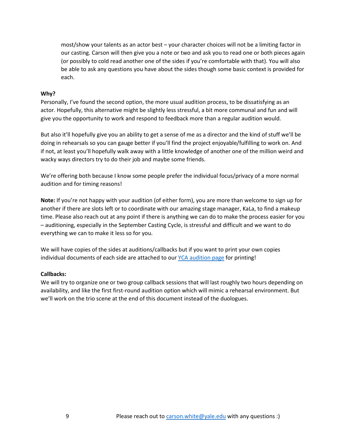most/show your talents as an actor best – your character choices will not be a limiting factor in our casting. Carson will then give you a note or two and ask you to read one or both pieces again (or possibly to cold read another one of the sides if you're comfortable with that). You will also be able to ask any questions you have about the sides though some basic context is provided for each.

#### **Why?**

Personally, I've found the second option, the more usual audition process, to be dissatisfying as an actor. Hopefully, this alternative might be slightly less stressful, a bit more communal and fun and will give you the opportunity to work and respond to feedback more than a regular audition would.

But also it'll hopefully give you an ability to get a sense of me as a director and the kind of stuff we'll be doing in rehearsals so you can gauge better if you'll find the project enjoyable/fulfilling to work on. And if not, at least you'll hopefully walk away with a little knowledge of another one of the million weird and wacky ways directors try to do their job and maybe some friends.

We're offering both because I know some people prefer the individual focus/privacy of a more normal audition and for timing reasons!

**Note:** If you're not happy with your audition (of either form), you are more than welcome to sign up for another if there are slots left or to coordinate with our amazing stage manager, KaLa, to find a makeup time. Please also reach out at any point if there is anything we can do to make the process easier for you – auditioning, especially in the September Casting Cycle, is stressful and difficult and we want to do everything we can to make it less so for you.

We will have copies of the sides at auditions/callbacks but if you want to print your own copies individual documents of each side are attached to our [YCA audition page](https://collegearts.yale.edu/opportunities/auditions/audition-art-yasmina-reza) for printing!

#### **Callbacks:**

We will try to organize one or two group callback sessions that will last roughly two hours depending on availability, and like the first first-round audition option which will mimic a rehearsal environment. But we'll work on the trio scene at the end of this document instead of the duologues.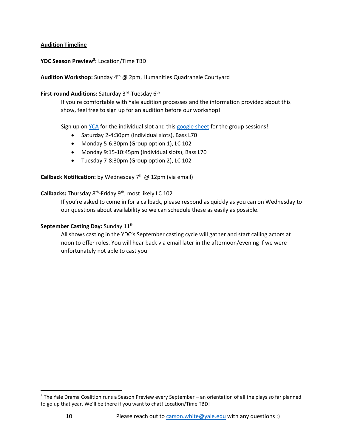#### **Audition Timeline**

### **YDC Season Preview<sup>3</sup> :** Location/Time TBD

**Audition Workshop:** Sunday 4 th @ 2pm, Humanities Quadrangle Courtyard

## **First-round Auditions:** Saturday 3<sup>rd</sup>-Tuesday 6<sup>th</sup>

If you're comfortable with Yale audition processes and the information provided about this show, feel free to sign up for an audition before our workshop!

Sign up on [YCA](https://collegearts.yale.edu/opportunities/auditions/audition-art-yasmina-reza) for the individual slot and this [google sheet](https://docs.google.com/spreadsheets/d/18h6-wCj282iRzbLJxqxAp2oFEwAqVpdiYFmU8zp1wIk/edit?usp=sharing) for the group sessions!

- Saturday 2-4:30pm (Individual slots), Bass L70
- Monday 5-6:30pm (Group option 1), LC 102
- Monday 9:15-10:45pm (Individual slots), Bass L70
- Tuesday 7-8:30pm (Group option 2), LC 102

#### Callback Notification: by Wednesday 7<sup>th</sup> @ 12pm (via email)

#### **Callbacks:** Thursday 8<sup>th</sup>-Friday 9<sup>th</sup>, most likely LC 102

If you're asked to come in for a callback, please respond as quickly as you can on Wednesday to our questions about availability so we can schedule these as easily as possible.

#### **September Casting Day: Sunday 11th**

All shows casting in the YDC's September casting cycle will gather and start calling actors at noon to offer roles. You will hear back via email later in the afternoon/evening if we were unfortunately not able to cast you

<sup>&</sup>lt;sup>3</sup> The Yale Drama Coalition runs a Season Preview every September – an orientation of all the plays so far planned to go up that year. We'll be there if you want to chat! Location/Time TBD!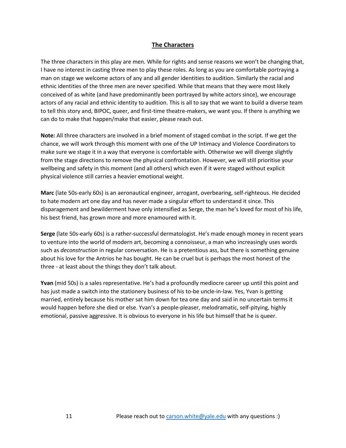# **The Characters**

The three characters in this play are men. While for rights and sense reasons we won't be changing that, I have no interest in casting three men to play these roles. As long as you are comfortable portraying a man on stage we welcome actors of any and all gender identities to audition. Similarly the racial and ethnic identities of the three men are never specified. While that means that they were most likely conceived of as white (and have predominantly been portrayed by white actors since), we encourage actors of any racial and ethnic identity to audition. This is all to say that we want to build a diverse team to tell this story and, BIPOC, queer, and first-time theatre-makers, we want you. If there is anything we can do to make that happen/make that easier, please reach out.

**Note:** All three characters are involved in a brief moment of staged combat in the script. If we get the chance, we will work through this moment with one of the UP Intimacy and Violence Coordinators to make sure we stage it in a way that everyone is comfortable with. Otherwise we will diverge slightly from the stage directions to remove the physical confrontation. However, we will still prioritise your wellbeing and safety in this moment (and all others) which even if it were staged without explicit physical violence still carries a heavier emotional weight.

**Marc** (late 50s-early 60s) is an aeronautical engineer, arrogant, overbearing, self-righteous. He decided to hate modern art one day and has never made a singular effort to understand it since. This disparagement and bewilderment have only intensified as Serge, the man he's loved for most of his life, his best friend, has grown more and more enamoured with it.

**Serge** (late 50s-early 60s) is a rather-successful dermatologist. He's made enough money in recent years to venture into the world of modern art, becoming a connoisseur, a man who increasingly uses words such as *deconstruction* in regular conversation. He is a pretentious ass, but there is something genuine about his love for the Antrios he has bought. He can be cruel but is perhaps the most honest of the three - at least about the things they don't talk about.

**Yvan** (mid 50s) is a sales representative. He's had a profoundly mediocre career up until this point and has just made a switch into the stationery business of his to-be uncle-in-law. Yes, Yvan is getting married, entirely because his mother sat him down for tea one day and said in no uncertain terms it would happen before she died or else. Yvan's a people-pleaser, melodramatic, self-pitying, highly emotional, passive aggressive. It is obvious to everyone in his life but himself that he is queer.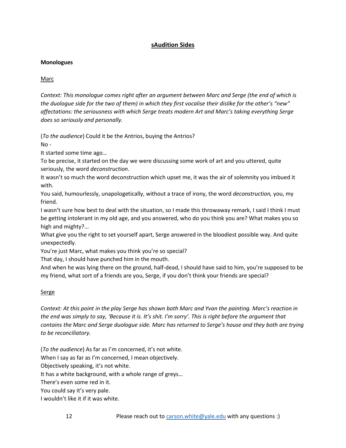# **sAudition Sides**

#### **Monologues**

#### Marc

*Context: This monologue comes right after an argument between Marc and Serge (the end of which is the duologue side for the two of them) in which they first vocalise their dislike for the other's "new" affectations: the seriousness with which Serge treats modern Art and Marc's taking everything Serge does so seriously and personally.*

(*To the audience*) Could it be the Antrios, buying the Antrios?

No -

It started some time ago…

To be precise, it started on the day we were discussing some work of art and you uttered, quite seriously, the word *deconstruction*.

It wasn't so much the word deconstruction which upset me, it was the air of solemnity you imbued it with.

You said, humourlessly, unapologetically, without a trace of irony, the word *deconstruction,* you, my friend.

I wasn't sure how best to deal with the situation, so I made this throwaway remark, I said I think I must be getting intolerant in my old age, and you answered, who do you think you are? What makes you so high and mighty?...

What give you the right to set yourself apart, Serge answered in the bloodiest possible way. And quite unexpectedly.

You're just Marc, what makes you think you're so special?

That day, I should have punched him in the mouth.

And when he was lying there on the ground, half-dead, I should have said to him, you're supposed to be my friend, what sort of a friends are you, Serge, if you don't think your friends are special?

### Serge

*Context: At this point in the play Serge has shown both Marc and Yvan the painting. Marc's reaction in the end was simply to say, 'Because it is. It's shit. I'm sorry'. This is right before the argument that contains the Marc and Serge duologue side. Marc has returned to Serge's house and they both are trying to be reconciliatory.* 

(*To the audience*) As far as I'm concerned, it's not white. When I say as far as I'm concerned, I mean objectively. Objectively speaking, it's not white. It has a white background, with a whole range of greys… There's even some red in it. You could say it's very pale. I wouldn't like it if it was white.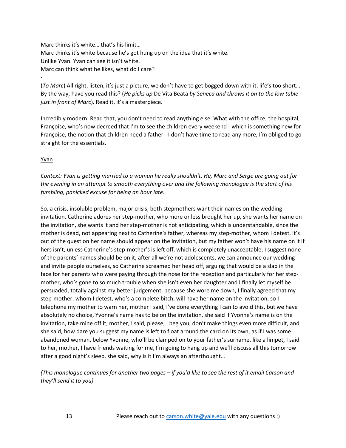Marc thinks it's white… that's his limit… Marc thinks it's white because he's got hung up on the idea that it's white. Unlike Yvan. Yvan can see it isn't white. Marc can think what he likes, what do I care?

(*To Marc*) All right, listen, it's just a picture, we don't have to get bogged down with it, life's too short… By the way, have you read this? (*He picks up* De Vita Beata *by Seneca and throws it on to the low table just in front of Marc*). Read it, it's a masterpiece.

Incredibly modern. Read that, you don't need to read anything else. What with the office, the hospital, Françoise, who's now decreed that I'm to see the children every weekend - which is something new for Françoise, the notion that children need a father - I don't have time to read any more, I'm obliged to go straight for the essentials.

#### Yvan

*-*

*Context: Yvan is getting married to a woman he really shouldn't. He, Marc and Serge are going out for the evening in an attempt to smooth everything over and the following monologue is the start of his fumbling, panicked excuse for being an hour late.* 

So, a crisis, insoluble problem, major crisis, both stepmothers want their names on the wedding invitation. Catherine adores her step-mother, who more or less brought her up, she wants her name on the invitation, she wants it and her step-mother is not anticipating, which is understandable, since the mother is dead, not appearing next to Catherine's father, whereas my step-mother, whom I detest, it's out of the question her name should appear on the invitation, but my father won't have his name on it if hers isn't, unless Catherine's step-mother's is left off, which is completely unacceptable, I suggest none of the parents' names should be on it, after all we're not adolescents, we can announce our wedding and invite people ourselves, so Catherine screamed her head off, arguing that would be a slap in the face for her parents who were paying through the nose for the reception and particularly for her stepmother, who's gone to so much trouble when she isn't even her daughter and I finally let myself be persuaded, totally against my better judgement, because she wore me down, I finally agreed that my step-mother, whom I detest, who's a complete bitch, will have her name on the invitation, so I telephone my mother to warn her, mother I said, I've done everything I can to avoid this, but we have absolutely no choice, Yvonne's name has to be on the invitation, she said if Yvonne's name is on the invitation, take mine off it, mother, I said, please, I beg you, don't make things even more difficult, and she said, how dare you suggest my name is left to float around the card on its own, as if I was some abandoned woman, below Yvonne, who'll be clamped on to your father's surname, like a limpet, I said to her, mother, I have friends waiting for me, I'm going to hang up and we'll discuss all this tomorrow after a good night's sleep, she said, why is it I'm always an afterthought…

*(This monologue continues for another two pages – if you'd like to see the rest of it email Carson and they'll send it to you)*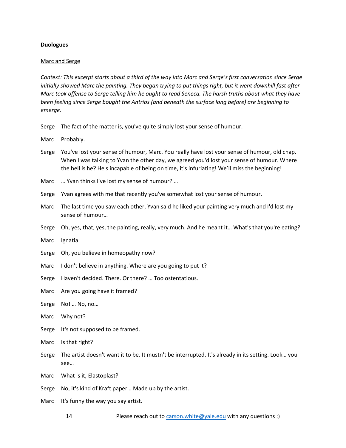#### **Duologues**

#### Marc and Serge

*Context: This excerpt starts about a third of the way into Marc and Serge's first conversation since Serge initially showed Marc the painting. They began trying to put things right, but it went downhill fast after Marc took offense to Serge telling him he ought to read Seneca. The harsh truths about what they have been feeling since Serge bought the Antrios (and beneath the surface long before) are beginning to emerge.* 

Serge The fact of the matter is, you've quite simply lost your sense of humour.

- Marc Probably.
- Serge You've lost your sense of humour, Marc. You really have lost your sense of humour, old chap. When I was talking to Yvan the other day, we agreed you'd lost your sense of humour. Where the hell is he? He's incapable of being on time, it's infuriating! We'll miss the beginning!
- Marc … Yvan thinks I've lost my sense of humour? …
- Serge Yvan agrees with me that recently you've somewhat lost your sense of humour.
- Marc The last time you saw each other, Yvan said he liked your painting very much and I'd lost my sense of humour…
- Serge Oh, yes, that, yes, the painting, really, very much. And he meant it… What's that you're eating?
- Marc Ignatia
- Serge Oh, you believe in homeopathy now?
- Marc I don't believe in anything. Where are you going to put it?
- Serge Haven't decided. There. Or there? … Too ostentatious.
- Marc Are you going have it framed?
- Serge No! … No, no…
- Marc Why not?
- Serge It's not supposed to be framed.
- Marc Is that right?
- Serge The artist doesn't want it to be. It mustn't be interrupted. It's already in its setting. Look… you see…
- Marc What is it, Elastoplast?
- Serge No, it's kind of Kraft paper… Made up by the artist.
- Marc It's funny the way you say artist.
	- 14 Please reach out to [carson.white@yale.edu](mailto:carson.white@yale.edu) with any questions :)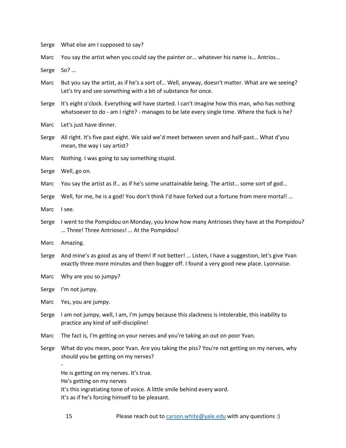Serge What else am I supposed to say?

Marc You say the artist when you could say the painter or... whatever his name is... Antrios...

Serge So? …

- Marc But you say the artist, as if he's a sort of... Well, anyway, doesn't matter. What are we seeing? Let's try and see something with a bit of substance for once.
- Serge It's eight o'clock. Everything will have started. I can't imagine how this man, who has nothing whatsoever to do - am I right? - manages to be late every single time. Where the fuck is he?
- Marc Let's just have dinner.
- Serge All right. It's five past eight. We said we'd meet between seven and half-past… What d'you mean, the way I say artist?
- Marc Nothing. I was going to say something stupid.
- Serge Well, go on.
- Marc You say the artist as if... as if he's some unattainable being. The artist... some sort of god...
- Serge Well, for me, he is a god! You don't think I'd have forked out a fortune from mere mortal! …
- Marc I see.
- Serge I went to the Pompidou on Monday, you know how many Antrioses they have at the Pompidou? … Three! Three Antrioses! … At the Pompidou!
- Marc Amazing.
- Serge And mine's as good as any of them! If not better! … Listen, I have a suggestion, let's give Yvan exactly three more minutes and then bugger off. I found a very good new place. Lyonnaise.
- Marc Why are you so jumpy?
- Serge I'm not jumpy.

-

- Marc Yes, you are jumpy.
- Serge I am not jumpy, well, I am, I'm jumpy because this slackness is intolerable, this inability to practice any kind of self-discipline!
- Marc The fact is, I'm getting on your nerves and you're taking an out on poor Yvan.
- Serge What do you mean, poor Yvan. Are you taking the piss? You're not getting on my nerves, why should you be getting on my nerves?

He is getting on my nerves. It's true. He's getting on my nerves It's this ingratiating tone of voice. A little smile behind every word. It's as if he's forcing himself to be pleasant.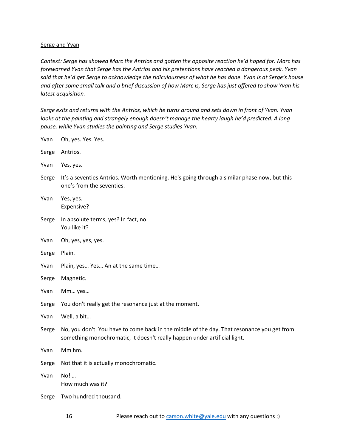#### Serge and Yvan

*Context: Serge has showed Marc the Antrios and gotten the opposite reaction he'd hoped for. Marc has forewarned Yvan that Serge has the Antrios and his pretentions have reached a dangerous peak. Yvan said that he'd get Serge to acknowledge the ridiculousness of what he has done. Yvan is at Serge's house and after some small talk and a brief discussion of how Marc is, Serge has just offered to show Yvan his latest acquisition.* 

*Serge exits and returns with the Antrios, which he turns around and sets down in front of Yvan. Yvan looks at the painting and strangely enough doesn't manage the hearty laugh he'd predicted. A long pause, while Yvan studies the painting and Serge studies Yvan.*

| Yvan  | Oh, yes. Yes. Yes.                                                                                                                                                      |
|-------|-------------------------------------------------------------------------------------------------------------------------------------------------------------------------|
| Serge | Antrios.                                                                                                                                                                |
| Yvan  | Yes, yes.                                                                                                                                                               |
| Serge | It's a seventies Antrios. Worth mentioning. He's going through a similar phase now, but this<br>one's from the seventies.                                               |
| Yvan  | Yes, yes.<br>Expensive?                                                                                                                                                 |
| Serge | In absolute terms, yes? In fact, no.<br>You like it?                                                                                                                    |
| Yvan  | Oh, yes, yes, yes.                                                                                                                                                      |
| Serge | Plain.                                                                                                                                                                  |
| Yvan  | Plain, yes Yes An at the same time                                                                                                                                      |
| Serge | Magnetic.                                                                                                                                                               |
| Yvan  | Mm yes                                                                                                                                                                  |
| Serge | You don't really get the resonance just at the moment.                                                                                                                  |
| Yvan  | Well, a bit                                                                                                                                                             |
| Serge | No, you don't. You have to come back in the middle of the day. That resonance you get from<br>something monochromatic, it doesn't really happen under artificial light. |
| Yvan  | Mm hm.                                                                                                                                                                  |
| Serge | Not that it is actually monochromatic.                                                                                                                                  |
| Yvan  | No!<br>How much was it?                                                                                                                                                 |
| Serge | Two hundred thousand.                                                                                                                                                   |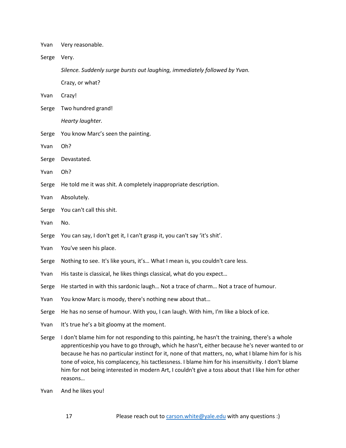| Serge Very. |                                                                                                                                                                                                                                                                                                                                                                                                                                                                                                                                |
|-------------|--------------------------------------------------------------------------------------------------------------------------------------------------------------------------------------------------------------------------------------------------------------------------------------------------------------------------------------------------------------------------------------------------------------------------------------------------------------------------------------------------------------------------------|
|             | Silence. Suddenly surge bursts out laughing, immediately followed by Yvan.                                                                                                                                                                                                                                                                                                                                                                                                                                                     |
|             | Crazy, or what?                                                                                                                                                                                                                                                                                                                                                                                                                                                                                                                |
| Yvan        | Crazy!                                                                                                                                                                                                                                                                                                                                                                                                                                                                                                                         |
| Serge       | Two hundred grand!                                                                                                                                                                                                                                                                                                                                                                                                                                                                                                             |
|             | Hearty laughter.                                                                                                                                                                                                                                                                                                                                                                                                                                                                                                               |
| Serge       | You know Marc's seen the painting.                                                                                                                                                                                                                                                                                                                                                                                                                                                                                             |
| Yvan        | Oh?                                                                                                                                                                                                                                                                                                                                                                                                                                                                                                                            |
| Serge       | Devastated.                                                                                                                                                                                                                                                                                                                                                                                                                                                                                                                    |
| Yvan        | Oh?                                                                                                                                                                                                                                                                                                                                                                                                                                                                                                                            |
| Serge       | He told me it was shit. A completely inappropriate description.                                                                                                                                                                                                                                                                                                                                                                                                                                                                |
| Yvan        | Absolutely.                                                                                                                                                                                                                                                                                                                                                                                                                                                                                                                    |
| Serge       | You can't call this shit.                                                                                                                                                                                                                                                                                                                                                                                                                                                                                                      |
| Yvan        | No.                                                                                                                                                                                                                                                                                                                                                                                                                                                                                                                            |
| Serge       | You can say, I don't get it, I can't grasp it, you can't say 'it's shit'.                                                                                                                                                                                                                                                                                                                                                                                                                                                      |
| Yvan        | You've seen his place.                                                                                                                                                                                                                                                                                                                                                                                                                                                                                                         |
| Serge       | Nothing to see. It's like yours, it's What I mean is, you couldn't care less.                                                                                                                                                                                                                                                                                                                                                                                                                                                  |
| Yvan        | His taste is classical, he likes things classical, what do you expect                                                                                                                                                                                                                                                                                                                                                                                                                                                          |
| Serge       | He started in with this sardonic laugh Not a trace of charm Not a trace of humour.                                                                                                                                                                                                                                                                                                                                                                                                                                             |
| Yvan        | You know Marc is moody, there's nothing new about that                                                                                                                                                                                                                                                                                                                                                                                                                                                                         |
| Serge       | He has no sense of humour. With you, I can laugh. With him, I'm like a block of ice.                                                                                                                                                                                                                                                                                                                                                                                                                                           |
| Yvan        | It's true he's a bit gloomy at the moment.                                                                                                                                                                                                                                                                                                                                                                                                                                                                                     |
| Serge       | I don't blame him for not responding to this painting, he hasn't the training, there's a whole<br>apprenticeship you have to go through, which he hasn't, either because he's never wanted to or<br>because he has no particular instinct for it, none of that matters, no, what I blame him for is his<br>tone of voice, his complacency, his tactlessness. I blame him for his insensitivity. I don't blame<br>him for not being interested in modern Art, I couldn't give a toss about that I like him for other<br>reasons |

Yvan And he likes you!

Yvan Very reasonable.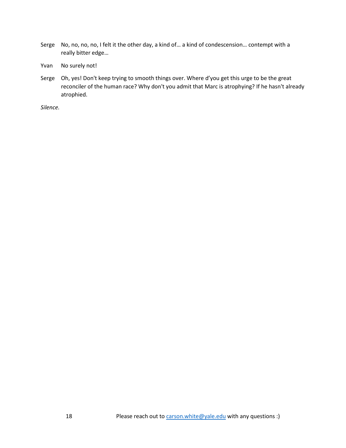- Serge No, no, no, no, I felt it the other day, a kind of… a kind of condescension… contempt with a really bitter edge…
- Yvan No surely not!
- Serge Oh, yes! Don't keep trying to smooth things over. Where d'you get this urge to be the great reconciler of the human race? Why don't you admit that Marc is atrophying? If he hasn't already atrophied.

*Silence.*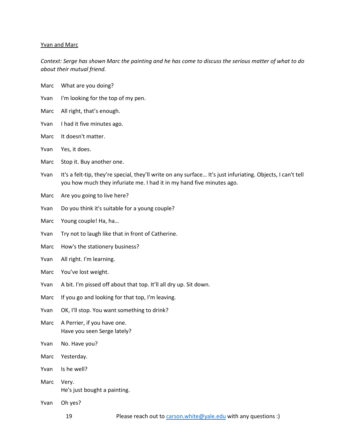#### Yvan and Marc

*Context: Serge has shown Marc the painting and he has come to discuss the serious matter of what to do about their mutual friend.* 

- Marc What are you doing?
- Yvan I'm looking for the top of my pen.
- Marc All right, that's enough.
- Yvan I had it five minutes ago.
- Marc It doesn't matter.
- Yvan Yes, it does.
- Marc Stop it. Buy another one.
- Yvan It's a felt-tip, they're special, they'll write on any surface… It's just infuriating. Objects, I can't tell you how much they infuriate me. I had it in my hand five minutes ago.
- Marc Are you going to live here?
- Yvan Do you think it's suitable for a young couple?
- Marc Young couple! Ha, ha…
- Yvan Try not to laugh like that in front of Catherine.
- Marc How's the stationery business?
- Yvan All right. I'm learning.
- Marc You've lost weight.
- Yvan A bit. I'm pissed off about that top. It'll all dry up. Sit down.
- Marc If you go and looking for that top, I'm leaving.
- Yvan OK, I'll stop. You want something to drink?
- Marc A Perrier, if you have one. Have you seen Serge lately?
- Yvan No. Have you?
- Marc Yesterday.
- Yvan Is he well?
- Marc Very. He's just bought a painting.
- Yvan Oh yes?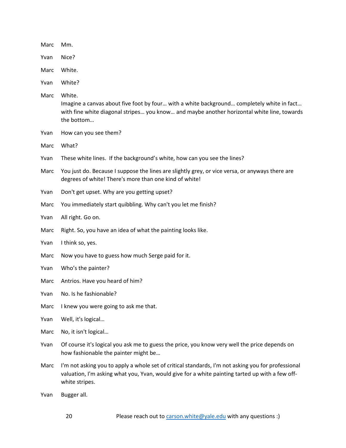| Marc | Mm.                                                                                                                                                                                                                     |
|------|-------------------------------------------------------------------------------------------------------------------------------------------------------------------------------------------------------------------------|
| Yvan | Nice?                                                                                                                                                                                                                   |
| Marc | White.                                                                                                                                                                                                                  |
| Yvan | White?                                                                                                                                                                                                                  |
| Marc | White.<br>Imagine a canvas about five foot by four with a white background completely white in fact<br>with fine white diagonal stripes you know and maybe another horizontal white line, towards<br>the bottom         |
| Yvan | How can you see them?                                                                                                                                                                                                   |
| Marc | What?                                                                                                                                                                                                                   |
| Yvan | These white lines. If the background's white, how can you see the lines?                                                                                                                                                |
| Marc | You just do. Because I suppose the lines are slightly grey, or vice versa, or anyways there are<br>degrees of white! There's more than one kind of white!                                                               |
| Yvan | Don't get upset. Why are you getting upset?                                                                                                                                                                             |
| Marc | You immediately start quibbling. Why can't you let me finish?                                                                                                                                                           |
| Yvan | All right. Go on.                                                                                                                                                                                                       |
| Marc | Right. So, you have an idea of what the painting looks like.                                                                                                                                                            |
| Yvan | I think so, yes.                                                                                                                                                                                                        |
| Marc | Now you have to guess how much Serge paid for it.                                                                                                                                                                       |
| Yvan | Who's the painter?                                                                                                                                                                                                      |
| Marc | Antrios. Have you heard of him?                                                                                                                                                                                         |
| Yvan | No. Is he fashionable?                                                                                                                                                                                                  |
| Marc | I knew you were going to ask me that.                                                                                                                                                                                   |
| Yvan | Well, it's logical                                                                                                                                                                                                      |
| Marc | No, it isn't logical                                                                                                                                                                                                    |
| Yvan | Of course it's logical you ask me to guess the price, you know very well the price depends on<br>how fashionable the painter might be                                                                                   |
| Marc | I'm not asking you to apply a whole set of critical standards, I'm not asking you for professional<br>valuation, I'm asking what you, Yvan, would give for a white painting tarted up with a few off-<br>white stripes. |
| Yvan | Bugger all.                                                                                                                                                                                                             |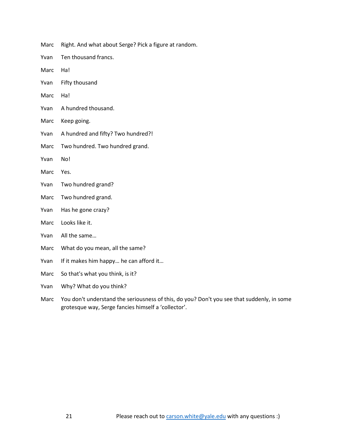- Marc Right. And what about Serge? Pick a figure at random.
- Yvan Ten thousand francs.
- Marc Ha!
- Yvan Fifty thousand
- Marc Ha!
- Yvan A hundred thousand.
- Marc Keep going.
- Yvan A hundred and fifty? Two hundred?!
- Marc Two hundred. Two hundred grand.
- Yvan No!
- Marc Yes.
- Yvan Two hundred grand?
- Marc Two hundred grand.
- Yvan Has he gone crazy?
- Marc Looks like it.
- Yvan All the same…
- Marc What do you mean, all the same?
- Yvan If it makes him happy... he can afford it...
- Marc So that's what you think, is it?
- Yvan Why? What do you think?
- Marc You don't understand the seriousness of this, do you? Don't you see that suddenly, in some grotesque way, Serge fancies himself a 'collector'.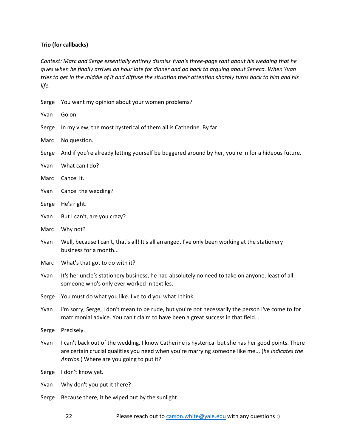# **Trio (for callbacks)**

*Context: Marc and Serge essentially entirely dismiss Yvan's three-page rant about his wedding that he gives when he finally arrives an hour late for dinner and go back to arguing about Seneca. When Yvan tries to get in the middle of it and diffuse the situation their attention sharply turns back to him and his life.* 

| Serge | You want my opinion about your women problems?                                                                                                                                                                                                  |
|-------|-------------------------------------------------------------------------------------------------------------------------------------------------------------------------------------------------------------------------------------------------|
| Yvan  | Go on.                                                                                                                                                                                                                                          |
| Serge | In my view, the most hysterical of them all is Catherine. By far.                                                                                                                                                                               |
| Marc  | No question.                                                                                                                                                                                                                                    |
| Serge | And if you're already letting yourself be buggered around by her, you're in for a hideous future.                                                                                                                                               |
| Yvan  | What can I do?                                                                                                                                                                                                                                  |
| Marc  | Cancel it.                                                                                                                                                                                                                                      |
| Yvan  | Cancel the wedding?                                                                                                                                                                                                                             |
| Serge | He's right.                                                                                                                                                                                                                                     |
| Yvan  | But I can't, are you crazy?                                                                                                                                                                                                                     |
| Marc  | Why not?                                                                                                                                                                                                                                        |
| Yvan  | Well, because I can't, that's all! It's all arranged. I've only been working at the stationery<br>business for a month                                                                                                                          |
| Marc  | What's that got to do with it?                                                                                                                                                                                                                  |
| Yvan  | It's her uncle's stationery business, he had absolutely no need to take on anyone, least of all<br>someone who's only ever worked in textiles.                                                                                                  |
| Serge | You must do what you like. I've told you what I think.                                                                                                                                                                                          |
| Yvan  | I'm sorry, Serge, I don't mean to be rude, but you're not necessarily the person I've come to for<br>matrimonial advice. You can't claim to have been a great success in that field                                                             |
| Serge | Precisely.                                                                                                                                                                                                                                      |
| Yvan  | I can't back out of the wedding. I know Catherine is hysterical but she has her good points. There<br>are certain crucial qualities you need when you're marrying someone like me (he indicates the<br>Antrios.) Where are you going to put it? |
| Serge | I don't know yet.                                                                                                                                                                                                                               |
| Yvan  | Why don't you put it there?                                                                                                                                                                                                                     |
| Serge | Because there, it be wiped out by the sunlight.                                                                                                                                                                                                 |

22 Please reach out to [carson.white@yale.edu](mailto:carson.white@yale.edu) with any questions :)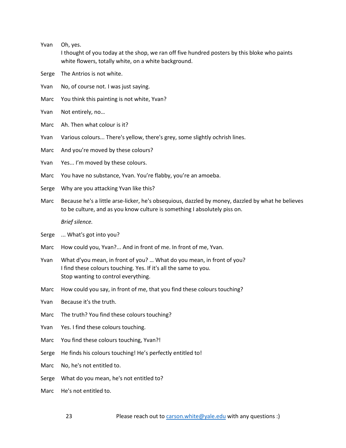Yvan Oh, yes.

I thought of you today at the shop, we ran off five hundred posters by this bloke who paints white flowers, totally white, on a white background.

- Serge The Antrios is not white.
- Yvan No, of course not. I was just saying.
- Marc You think this painting is not white, Yvan?
- Yvan Not entirely, no…
- Marc Ah. Then what colour is it?
- Yvan Various colours... There's yellow, there's grey, some slightly ochrish lines.
- Marc And you're moved by these colours?
- Yvan Yes... I'm moved by these colours.
- Marc You have no substance, Yvan. You're flabby, you're an amoeba.
- Serge Why are you attacking Yvan like this?
- Marc Because he's a little arse-licker, he's obsequious, dazzled by money, dazzled by what he believes to be culture, and as you know culture is something I absolutely piss on.

#### *Brief silence.*

- Serge ... What's got into you?
- Marc How could you, Yvan?... And in front of me. In front of me, Yvan.
- Yvan What d'you mean, in front of you? … What do you mean, in front of you? I find these colours touching. Yes. If it's all the same to you. Stop wanting to control everything.
- Marc How could you say, in front of me, that you find these colours touching?
- Yvan Because it's the truth.
- Marc The truth? You find these colours touching?
- Yvan Yes. I find these colours touching.
- Marc You find these colours touching, Yvan?!
- Serge He finds his colours touching! He's perfectly entitled to!
- Marc No, he's not entitled to.
- Serge What do you mean, he's not entitled to?
- Marc He's not entitled to.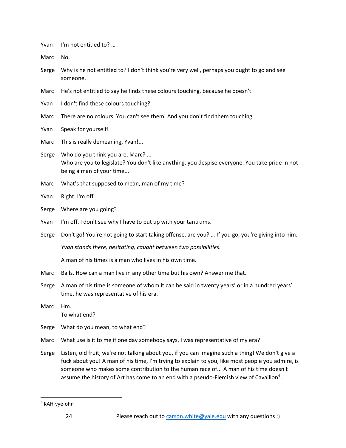Yvan I'm not entitled to? ...

Marc No.

- Serge Why is he not entitled to? I don't think you're very well, perhaps you ought to go and see someone.
- Marc He's not entitled to say he finds these colours touching, because he doesn't.
- Yvan I don't find these colours touching?
- Marc There are no colours. You can't see them. And you don't find them touching.
- Yvan Speak for yourself!
- Marc This is really demeaning, Yvan!...
- Serge Who do you think you are, Marc? ... Who are you to legislate? You don't like anything, you despise everyone. You take pride in not being a man of your time...
- Marc What's that supposed to mean, man of my time?
- Yvan Right. I'm off.
- Serge Where are you going?
- Yvan I'm off. I don't see why I have to put up with your tantrums.
- Serge Don't go! You're not going to start taking offense, are you? ... If you go, you're giving into him.

*Yvan stands there, hesitating, caught between two possibilities.*

A man of his times is a man who lives in his own time.

- Marc Balls. How can a man live in any other time but his own? Answer me that.
- Serge A man of his time is someone of whom it can be said in twenty years' or in a hundred years' time, he was representative of his era.
- Marc Hm. To what end?
- Serge What do you mean, to what end?
- Marc What use is it to me if one day somebody says, I was representative of my era?
- Serge Listen, old fruit, we're not talking about you, if you can imagine such a thing! We don't give a fuck about you! A man of his time, I'm trying to explain to you, like most people you admire, is someone who makes some contribution to the human race of... A man of his time doesn't assume the history of Art has come to an end with a pseudo-Flemish view of Cavaillon<sup>4</sup>...

<sup>4</sup> KAH-vye-ohn